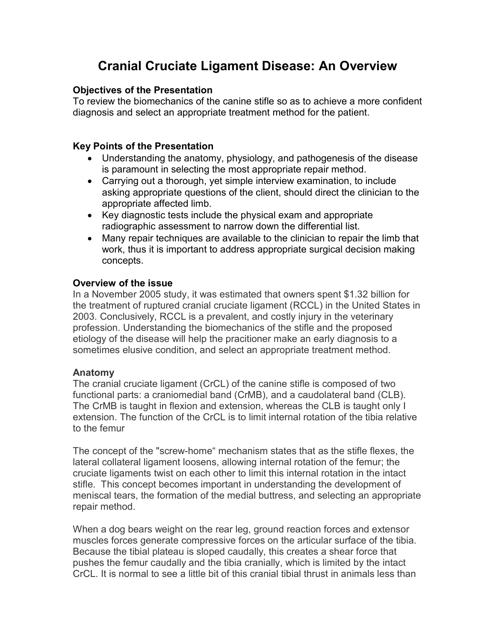# Cranial Cruciate Ligament Disease: An Overview

#### Objectives of the Presentation

To review the biomechanics of the canine stifle so as to achieve a more confident diagnosis and select an appropriate treatment method for the patient.

## Key Points of the Presentation

- Understanding the anatomy, physiology, and pathogenesis of the disease is paramount in selecting the most appropriate repair method.
- Carrying out a thorough, yet simple interview examination, to include asking appropriate questions of the client, should direct the clinician to the appropriate affected limb.
- Key diagnostic tests include the physical exam and appropriate radiographic assessment to narrow down the differential list.
- Many repair techniques are available to the clinician to repair the limb that work, thus it is important to address appropriate surgical decision making concepts.

## Overview of the issue

In a November 2005 study, it was estimated that owners spent \$1.32 billion for the treatment of ruptured cranial cruciate ligament (RCCL) in the United States in 2003. Conclusively, RCCL is a prevalent, and costly injury in the veterinary profession. Understanding the biomechanics of the stifle and the proposed etiology of the disease will help the pracitioner make an early diagnosis to a sometimes elusive condition, and select an appropriate treatment method.

#### Anatomy

The cranial cruciate ligament (CrCL) of the canine stifle is composed of two functional parts: a craniomedial band (CrMB), and a caudolateral band (CLB). The CrMB is taught in flexion and extension, whereas the CLB is taught only I extension. The function of the CrCL is to limit internal rotation of the tibia relative to the femur

The concept of the "screw-home" mechanism states that as the stifle flexes, the lateral collateral ligament loosens, allowing internal rotation of the femur; the cruciate ligaments twist on each other to limit this internal rotation in the intact stifle. This concept becomes important in understanding the development of meniscal tears, the formation of the medial buttress, and selecting an appropriate repair method.

When a dog bears weight on the rear leg, ground reaction forces and extensor muscles forces generate compressive forces on the articular surface of the tibia. Because the tibial plateau is sloped caudally, this creates a shear force that pushes the femur caudally and the tibia cranially, which is limited by the intact CrCL. It is normal to see a little bit of this cranial tibial thrust in animals less than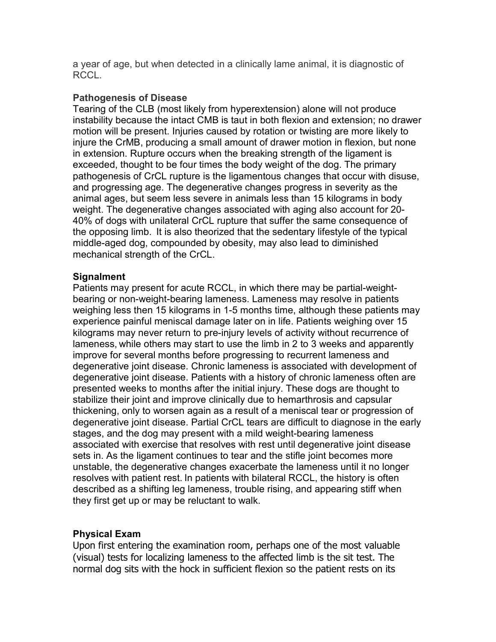a year of age, but when detected in a clinically lame animal, it is diagnostic of RCCL.

#### Pathogenesis of Disease

Tearing of the CLB (most likely from hyperextension) alone will not produce instability because the intact CMB is taut in both flexion and extension; no drawer motion will be present. Injuries caused by rotation or twisting are more likely to injure the CrMB, producing a small amount of drawer motion in flexion, but none in extension. Rupture occurs when the breaking strength of the ligament is exceeded, thought to be four times the body weight of the dog. The primary pathogenesis of CrCL rupture is the ligamentous changes that occur with disuse, and progressing age. The degenerative changes progress in severity as the animal ages, but seem less severe in animals less than 15 kilograms in body weight. The degenerative changes associated with aging also account for 20- 40% of dogs with unilateral CrCL rupture that suffer the same consequence of the opposing limb. It is also theorized that the sedentary lifestyle of the typical middle-aged dog, compounded by obesity, may also lead to diminished mechanical strength of the CrCL.

#### **Signalment**

Patients may present for acute RCCL, in which there may be partial-weightbearing or non-weight-bearing lameness. Lameness may resolve in patients weighing less then 15 kilograms in 1-5 months time, although these patients may experience painful meniscal damage later on in life. Patients weighing over 15 kilograms may never return to pre-injury levels of activity without recurrence of lameness, while others may start to use the limb in 2 to 3 weeks and apparently improve for several months before progressing to recurrent lameness and degenerative joint disease. Chronic lameness is associated with development of degenerative joint disease. Patients with a history of chronic lameness often are presented weeks to months after the initial injury. These dogs are thought to stabilize their joint and improve clinically due to hemarthrosis and capsular thickening, only to worsen again as a result of a meniscal tear or progression of degenerative joint disease. Partial CrCL tears are difficult to diagnose in the early stages, and the dog may present with a mild weight-bearing lameness associated with exercise that resolves with rest until degenerative joint disease sets in. As the ligament continues to tear and the stifle joint becomes more unstable, the degenerative changes exacerbate the lameness until it no longer resolves with patient rest. In patients with bilateral RCCL, the history is often described as a shifting leg lameness, trouble rising, and appearing stiff when they first get up or may be reluctant to walk.

## Physical Exam

Upon first entering the examination room, perhaps one of the most valuable (visual) tests for localizing lameness to the affected limb is the sit test. The normal dog sits with the hock in sufficient flexion so the patient rests on its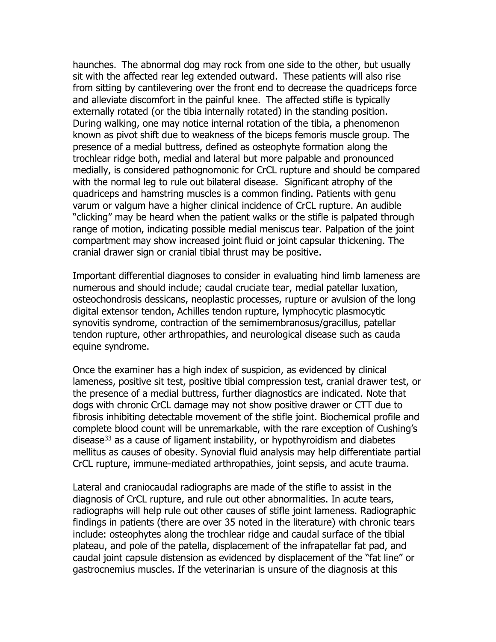haunches. The abnormal dog may rock from one side to the other, but usually sit with the affected rear leg extended outward. These patients will also rise from sitting by cantilevering over the front end to decrease the quadriceps force and alleviate discomfort in the painful knee. The affected stifle is typically externally rotated (or the tibia internally rotated) in the standing position. During walking, one may notice internal rotation of the tibia, a phenomenon known as pivot shift due to weakness of the biceps femoris muscle group. The presence of a medial buttress, defined as osteophyte formation along the trochlear ridge both, medial and lateral but more palpable and pronounced medially, is considered pathognomonic for CrCL rupture and should be compared with the normal leg to rule out bilateral disease. Significant atrophy of the quadriceps and hamstring muscles is a common finding. Patients with genu varum or valgum have a higher clinical incidence of CrCL rupture. An audible "clicking" may be heard when the patient walks or the stifle is palpated through range of motion, indicating possible medial meniscus tear. Palpation of the joint compartment may show increased joint fluid or joint capsular thickening. The cranial drawer sign or cranial tibial thrust may be positive.

Important differential diagnoses to consider in evaluating hind limb lameness are numerous and should include; caudal cruciate tear, medial patellar luxation, osteochondrosis dessicans, neoplastic processes, rupture or avulsion of the long digital extensor tendon, Achilles tendon rupture, lymphocytic plasmocytic synovitis syndrome, contraction of the semimembranosus/gracillus, patellar tendon rupture, other arthropathies, and neurological disease such as cauda equine syndrome.

Once the examiner has a high index of suspicion, as evidenced by clinical lameness, positive sit test, positive tibial compression test, cranial drawer test, or the presence of a medial buttress, further diagnostics are indicated. Note that dogs with chronic CrCL damage may not show positive drawer or CTT due to fibrosis inhibiting detectable movement of the stifle joint. Biochemical profile and complete blood count will be unremarkable, with the rare exception of Cushing's disease<sup>33</sup> as a cause of ligament instability, or hypothyroidism and diabetes mellitus as causes of obesity. Synovial fluid analysis may help differentiate partial CrCL rupture, immune-mediated arthropathies, joint sepsis, and acute trauma.

Lateral and craniocaudal radiographs are made of the stifle to assist in the diagnosis of CrCL rupture, and rule out other abnormalities. In acute tears, radiographs will help rule out other causes of stifle joint lameness. Radiographic findings in patients (there are over 35 noted in the literature) with chronic tears include: osteophytes along the trochlear ridge and caudal surface of the tibial plateau, and pole of the patella, displacement of the infrapatellar fat pad, and caudal joint capsule distension as evidenced by displacement of the "fat line" or gastrocnemius muscles. If the veterinarian is unsure of the diagnosis at this